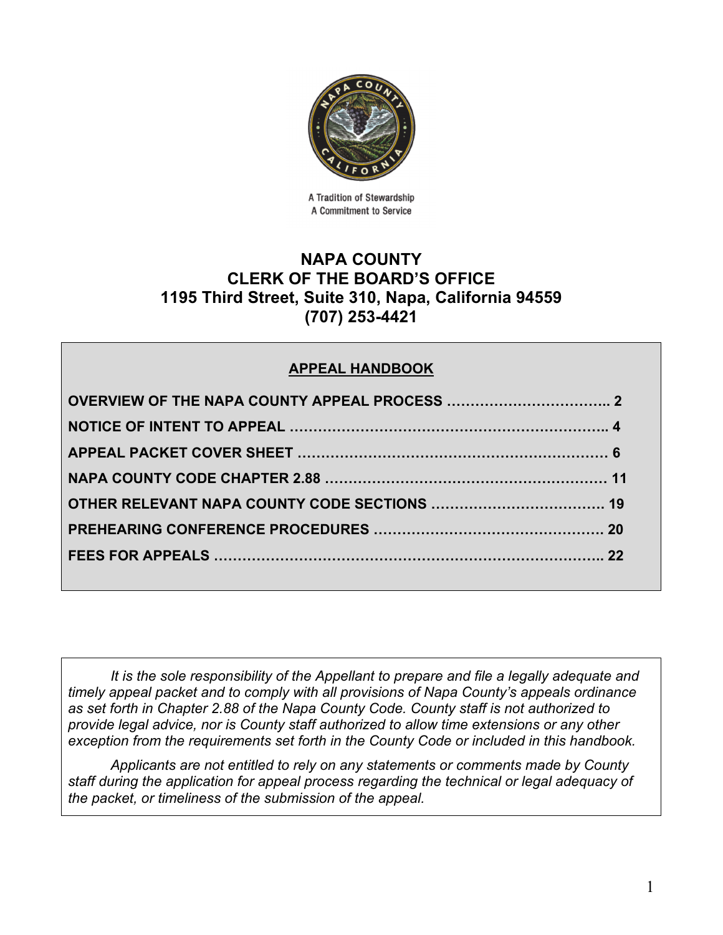

A Tradition of Stewardship A Commitment to Service

# **NAPA COUNTY CLERK OF THE BOARD'S OFFICE 1195 Third Street, Suite 310, Napa, California 94559 (707) 253-4421**

# **APPEAL HANDBOOK**

*It is the sole responsibility of the Appellant to prepare and file a legally adequate and timely appeal packet and to comply with all provisions of Napa County's appeals ordinance as set forth in Chapter 2.88 of the Napa County Code. County staff is not authorized to provide legal advice, nor is County staff authorized to allow time extensions or any other exception from the requirements set forth in the County Code or included in this handbook.* 

*Applicants are not entitled to rely on any statements or comments made by County staff during the application for appeal process regarding the technical or legal adequacy of the packet, or timeliness of the submission of the appeal.*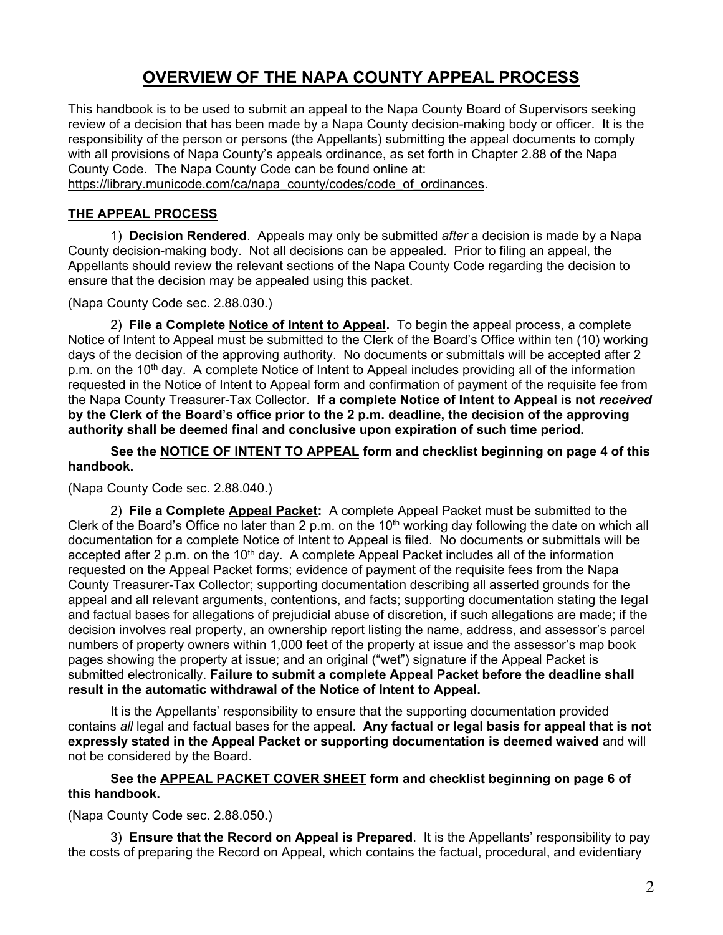# **OVERVIEW OF THE NAPA COUNTY APPEAL PROCESS**

This handbook is to be used to submit an appeal to the Napa County Board of Supervisors seeking review of a decision that has been made by a Napa County decision-making body or officer. It is the responsibility of the person or persons (the Appellants) submitting the appeal documents to comply with all provisions of Napa County's appeals ordinance, as set forth in Chapter 2.88 of the Napa County Code. The Napa County Code can be found online at: https://library.municode.com/ca/napa\_county/codes/code\_of\_ordinances.

## **THE APPEAL PROCESS**

1) **Decision Rendered**. Appeals may only be submitted *after* a decision is made by a Napa County decision-making body. Not all decisions can be appealed. Prior to filing an appeal, the Appellants should review the relevant sections of the Napa County Code regarding the decision to ensure that the decision may be appealed using this packet.

(Napa County Code sec. 2.88.030.)

2) **File a Complete Notice of Intent to Appeal.** To begin the appeal process, a complete Notice of Intent to Appeal must be submitted to the Clerk of the Board's Office within ten (10) working days of the decision of the approving authority. No documents or submittals will be accepted after 2 p.m. on the 10<sup>th</sup> day. A complete Notice of Intent to Appeal includes providing all of the information requested in the Notice of Intent to Appeal form and confirmation of payment of the requisite fee from the Napa County Treasurer-Tax Collector. **If a complete Notice of Intent to Appeal is not** *received* **by the Clerk of the Board's office prior to the 2 p.m. deadline, the decision of the approving authority shall be deemed final and conclusive upon expiration of such time period.** 

**See the NOTICE OF INTENT TO APPEAL form and checklist beginning on page 4 of this handbook.**

(Napa County Code sec. 2.88.040.)

2) **File a Complete Appeal Packet:** A complete Appeal Packet must be submitted to the Clerk of the Board's Office no later than 2 p.m. on the  $10<sup>th</sup>$  working day following the date on which all documentation for a complete Notice of Intent to Appeal is filed. No documents or submittals will be accepted after 2 p.m. on the  $10<sup>th</sup>$  day. A complete Appeal Packet includes all of the information requested on the Appeal Packet forms; evidence of payment of the requisite fees from the Napa County Treasurer-Tax Collector; supporting documentation describing all asserted grounds for the appeal and all relevant arguments, contentions, and facts; supporting documentation stating the legal and factual bases for allegations of prejudicial abuse of discretion, if such allegations are made; if the decision involves real property, an ownership report listing the name, address, and assessor's parcel numbers of property owners within 1,000 feet of the property at issue and the assessor's map book pages showing the property at issue; and an original ("wet") signature if the Appeal Packet is submitted electronically. **Failure to submit a complete Appeal Packet before the deadline shall result in the automatic withdrawal of the Notice of Intent to Appeal.** 

It is the Appellants' responsibility to ensure that the supporting documentation provided contains *all* legal and factual bases for the appeal. **Any factual or legal basis for appeal that is not expressly stated in the Appeal Packet or supporting documentation is deemed waived** and will not be considered by the Board.

#### **See the APPEAL PACKET COVER SHEET form and checklist beginning on page 6 of this handbook.**

(Napa County Code sec. 2.88.050.)

3) **Ensure that the Record on Appeal is Prepared**. It is the Appellants' responsibility to pay the costs of preparing the Record on Appeal, which contains the factual, procedural, and evidentiary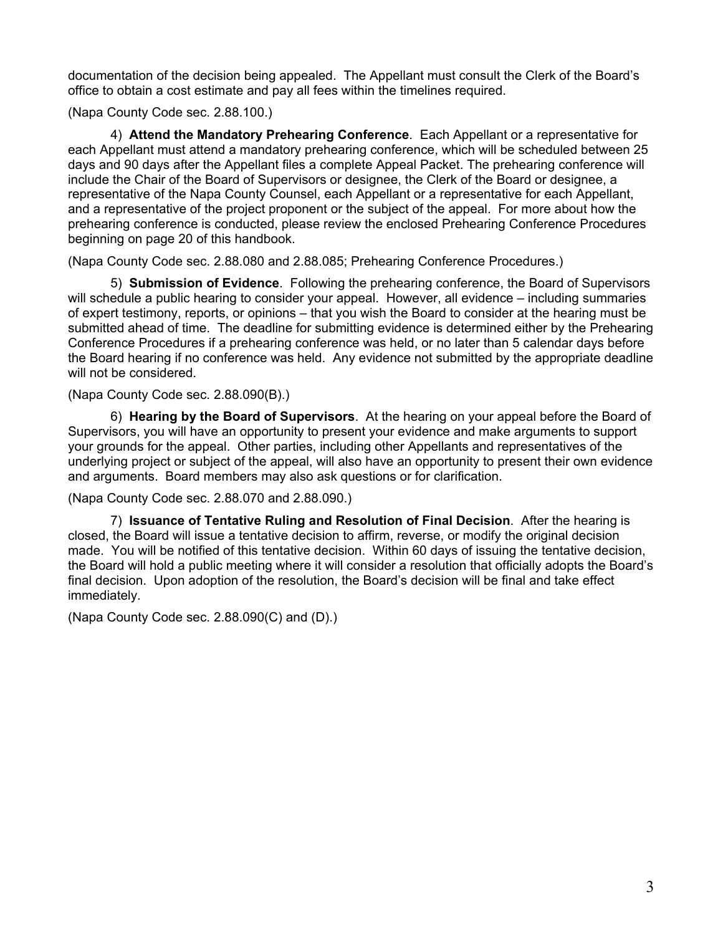documentation of the decision being appealed. The Appellant must consult the Clerk of the Board's office to obtain a cost estimate and pay all fees within the timelines required.

(Napa County Code sec. 2.88.100.)

4) **Attend the Mandatory Prehearing Conference**. Each Appellant or a representative for each Appellant must attend a mandatory prehearing conference, which will be scheduled between 25 days and 90 days after the Appellant files a complete Appeal Packet. The prehearing conference will include the Chair of the Board of Supervisors or designee, the Clerk of the Board or designee, a representative of the Napa County Counsel, each Appellant or a representative for each Appellant, and a representative of the project proponent or the subject of the appeal. For more about how the prehearing conference is conducted, please review the enclosed Prehearing Conference Procedures beginning on page 20 of this handbook.

(Napa County Code sec. 2.88.080 and 2.88.085; Prehearing Conference Procedures.)

5) **Submission of Evidence**. Following the prehearing conference, the Board of Supervisors will schedule a public hearing to consider your appeal. However, all evidence – including summaries of expert testimony, reports, or opinions – that you wish the Board to consider at the hearing must be submitted ahead of time. The deadline for submitting evidence is determined either by the Prehearing Conference Procedures if a prehearing conference was held, or no later than 5 calendar days before the Board hearing if no conference was held. Any evidence not submitted by the appropriate deadline will not be considered.

(Napa County Code sec. 2.88.090(B).)

 6) **Hearing by the Board of Supervisors**. At the hearing on your appeal before the Board of Supervisors, you will have an opportunity to present your evidence and make arguments to support your grounds for the appeal. Other parties, including other Appellants and representatives of the underlying project or subject of the appeal, will also have an opportunity to present their own evidence and arguments. Board members may also ask questions or for clarification.

(Napa County Code sec. 2.88.070 and 2.88.090.)

 7) **Issuance of Tentative Ruling and Resolution of Final Decision**. After the hearing is closed, the Board will issue a tentative decision to affirm, reverse, or modify the original decision made. You will be notified of this tentative decision. Within 60 days of issuing the tentative decision, the Board will hold a public meeting where it will consider a resolution that officially adopts the Board's final decision. Upon adoption of the resolution, the Board's decision will be final and take effect immediately.

(Napa County Code sec. 2.88.090(C) and (D).)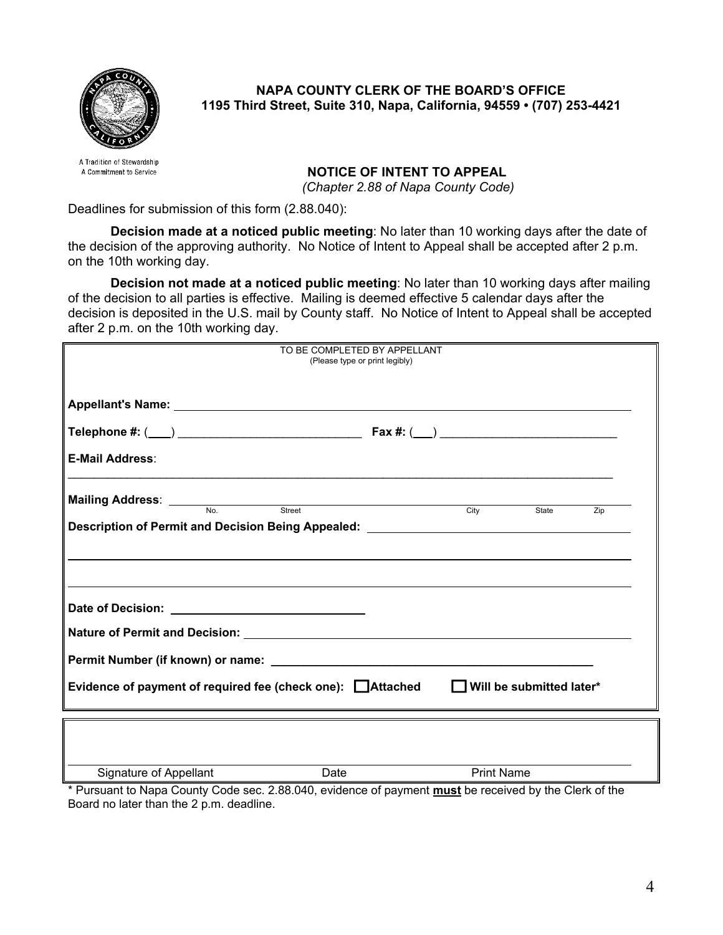

**NAPA COUNTY CLERK OF THE BOARD'S OFFICE 1195 Third Street, Suite 310, Napa, California, 94559 • (707) 253-4421** 

A Tradition of Stewardship A Commitment to Service

## **NOTICE OF INTENT TO APPEAL**

 *(Chapter 2.88 of Napa County Code)* 

Deadlines for submission of this form (2.88.040):

**Decision made at a noticed public meeting**: No later than 10 working days after the date of the decision of the approving authority. No Notice of Intent to Appeal shall be accepted after 2 p.m. on the 10th working day.

**Decision not made at a noticed public meeting**: No later than 10 working days after mailing of the decision to all parties is effective. Mailing is deemed effective 5 calendar days after the decision is deposited in the U.S. mail by County staff. No Notice of Intent to Appeal shall be accepted after 2 p.m. on the 10th working day.

| TO BE COMPLETED BY APPELLANT<br>(Please type or print legibly)                     |                                                                                  |  |  |
|------------------------------------------------------------------------------------|----------------------------------------------------------------------------------|--|--|
|                                                                                    |                                                                                  |  |  |
|                                                                                    |                                                                                  |  |  |
|                                                                                    |                                                                                  |  |  |
| <b>E-Mail Address:</b>                                                             |                                                                                  |  |  |
| <b>Mailing Address:</b> No. Street                                                 |                                                                                  |  |  |
| Description of Permit and Decision Being Appealed: _____________________________   | City<br>Zip<br>State                                                             |  |  |
|                                                                                    | ,我们也不会有什么。""我们的人,我们也不会有什么?""我们的人,我们也不会有什么?""我们的人,我们也不会有什么?""我们的人,我们也不会有什么?""我们的人 |  |  |
|                                                                                    |                                                                                  |  |  |
|                                                                                    |                                                                                  |  |  |
|                                                                                    |                                                                                  |  |  |
| Evidence of payment of required fee (check one): Attached Vill be submitted later* |                                                                                  |  |  |
|                                                                                    |                                                                                  |  |  |
|                                                                                    |                                                                                  |  |  |
| Signature of Appellant                                                             | <b>Print Name</b><br><b>Date</b>                                                 |  |  |

\* Pursuant to Napa County Code sec. 2.88.040, evidence of payment **must** be received by the Clerk of the Board no later than the 2 p.m. deadline.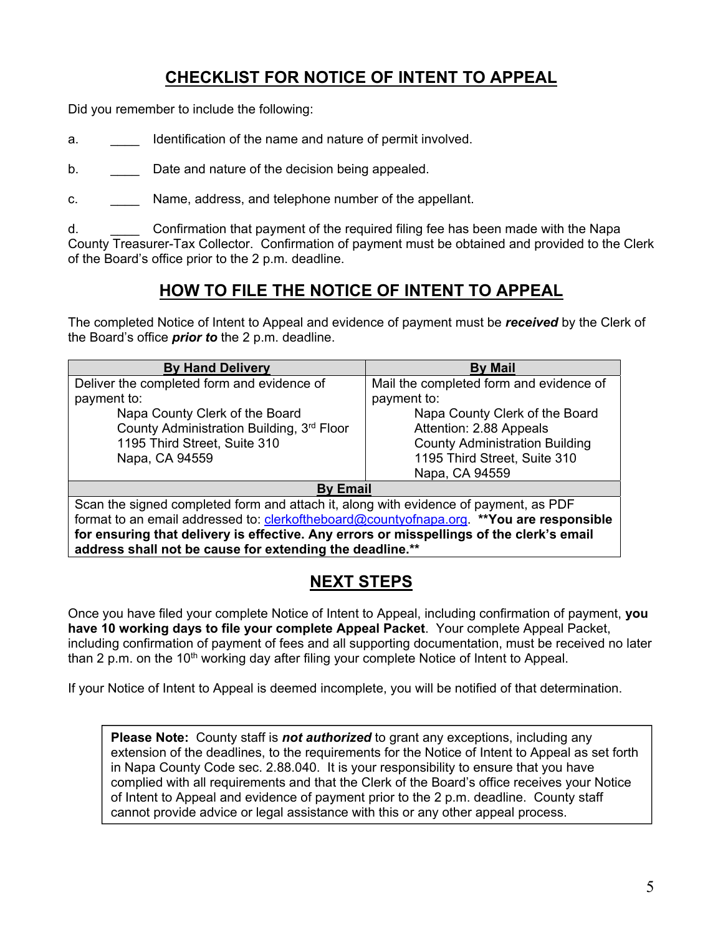# **CHECKLIST FOR NOTICE OF INTENT TO APPEAL**

Did you remember to include the following:

- a. **\_\_\_\_** Identification of the name and nature of permit involved.
- b. Date and nature of the decision being appealed.
- c. Name, address, and telephone number of the appellant.

d. \_\_\_\_ Confirmation that payment of the required filing fee has been made with the Napa County Treasurer-Tax Collector. Confirmation of payment must be obtained and provided to the Clerk of the Board's office prior to the 2 p.m. deadline.

# **HOW TO FILE THE NOTICE OF INTENT TO APPEAL**

The completed Notice of Intent to Appeal and evidence of payment must be *received* by the Clerk of the Board's office *prior to* the 2 p.m. deadline.

| <b>By Hand Delivery</b>                                                                         | <b>By Mail</b>                          |  |  |  |
|-------------------------------------------------------------------------------------------------|-----------------------------------------|--|--|--|
| Deliver the completed form and evidence of                                                      | Mail the completed form and evidence of |  |  |  |
| payment to:                                                                                     | payment to:                             |  |  |  |
| Napa County Clerk of the Board                                                                  | Napa County Clerk of the Board          |  |  |  |
| County Administration Building, 3rd Floor                                                       | Attention: 2.88 Appeals                 |  |  |  |
| 1195 Third Street, Suite 310                                                                    | <b>County Administration Building</b>   |  |  |  |
| Napa, CA 94559                                                                                  | 1195 Third Street, Suite 310            |  |  |  |
|                                                                                                 | Napa, CA 94559                          |  |  |  |
| <b>By Email</b>                                                                                 |                                         |  |  |  |
| Scan the signed completed form and attach it, along with evidence of payment, as PDF            |                                         |  |  |  |
| format to an email addressed to: <i>clerkoftheboard@countyofnapa.org.</i> **You are responsible |                                         |  |  |  |
| for ensuring that delivery is effective. Any errors or misspellings of the clerk's email        |                                         |  |  |  |
| address shall not be cause for extending the deadline.**                                        |                                         |  |  |  |

# **NEXT STEPS**

Once you have filed your complete Notice of Intent to Appeal, including confirmation of payment, **you have 10 working days to file your complete Appeal Packet**. Your complete Appeal Packet, including confirmation of payment of fees and all supporting documentation, must be received no later than 2 p.m. on the 10<sup>th</sup> working day after filing your complete Notice of Intent to Appeal.

If your Notice of Intent to Appeal is deemed incomplete, you will be notified of that determination.

**Please Note:** County staff is *not authorized* to grant any exceptions, including any extension of the deadlines, to the requirements for the Notice of Intent to Appeal as set forth in Napa County Code sec. 2.88.040. It is your responsibility to ensure that you have complied with all requirements and that the Clerk of the Board's office receives your Notice of Intent to Appeal and evidence of payment prior to the 2 p.m. deadline. County staff cannot provide advice or legal assistance with this or any other appeal process.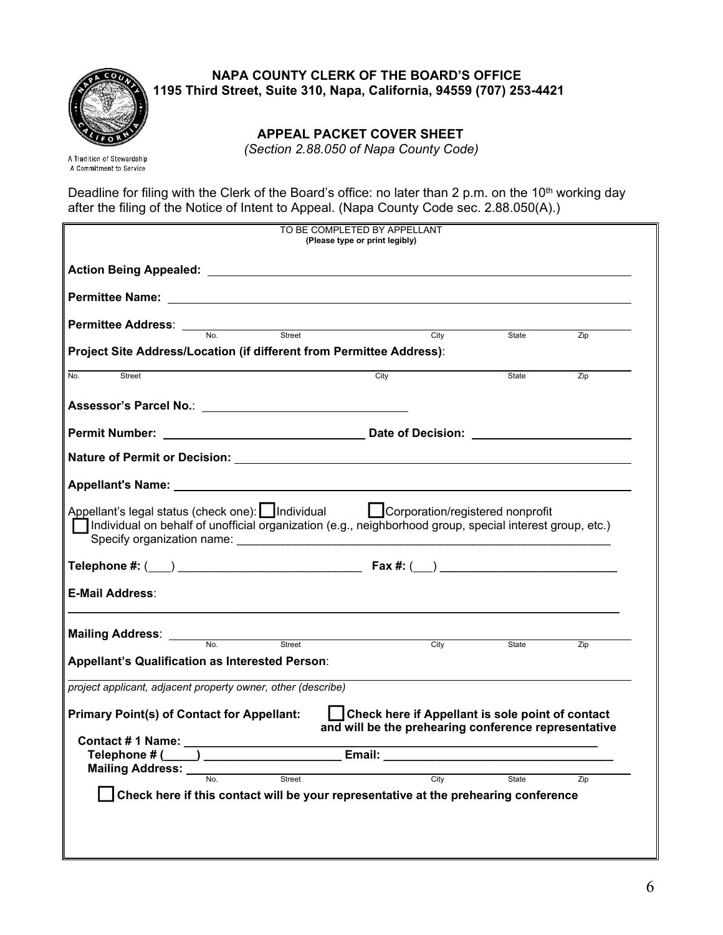

 **NAPA COUNTY CLERK OF THE BOARD'S OFFICE 1195 Third Street, Suite 310, Napa, California, 94559 (707) 253-4421** 

 **APPEAL PACKET COVER SHEET** 

*(Section 2.88.050 of Napa County Code)* 

A Tradition of Stewardship A Commitment to Service

Deadline for filing with the Clerk of the Board's office: no later than 2 p.m. on the 10<sup>th</sup> working day after the filing of the Notice of Intent to Appeal. (Napa County Code sec. 2.88.050(A).)

|                                                                                                                                                                                                                                      | TO BE COMPLETED BY APPELLANT<br>(Please type or print legibly)                                           |       |     |
|--------------------------------------------------------------------------------------------------------------------------------------------------------------------------------------------------------------------------------------|----------------------------------------------------------------------------------------------------------|-------|-----|
|                                                                                                                                                                                                                                      |                                                                                                          |       |     |
|                                                                                                                                                                                                                                      |                                                                                                          |       |     |
| <b>Permittee Address:</b> No. Street Street City                                                                                                                                                                                     |                                                                                                          |       |     |
| Project Site Address/Location (if different from Permittee Address):                                                                                                                                                                 |                                                                                                          | State | Zip |
| Street<br>No.                                                                                                                                                                                                                        | City                                                                                                     | State | Zip |
|                                                                                                                                                                                                                                      |                                                                                                          |       |     |
|                                                                                                                                                                                                                                      |                                                                                                          |       |     |
|                                                                                                                                                                                                                                      |                                                                                                          |       |     |
|                                                                                                                                                                                                                                      |                                                                                                          |       |     |
| □ Individual on behalf of unofficial organization (e.g., neighborhood group, special interest group, etc.)<br><b>E-Mail Address:</b>                                                                                                 |                                                                                                          |       |     |
| Mailing Address: <u>with No. All Street Street And Street Street Street Street Street Street Street Street Street Street Street Street Street Street Street Street Street Street Street Street Street Street Street Street Stree</u> |                                                                                                          |       |     |
|                                                                                                                                                                                                                                      | City                                                                                                     | State | Zip |
| Appellant's Qualification as Interested Person:                                                                                                                                                                                      |                                                                                                          |       |     |
| project applicant, adjacent property owner, other (describe)                                                                                                                                                                         |                                                                                                          |       |     |
| <b>Primary Point(s) of Contact for Appellant:</b>                                                                                                                                                                                    | Check here if Appellant is sole point of contact<br>and will be the prehearing conference representative |       |     |
|                                                                                                                                                                                                                                      |                                                                                                          |       |     |
| Mailing Address: No. Street                                                                                                                                                                                                          |                                                                                                          |       |     |
| Check here if this contact will be your representative at the prehearing conference                                                                                                                                                  | City                                                                                                     | State | Zip |
|                                                                                                                                                                                                                                      |                                                                                                          |       |     |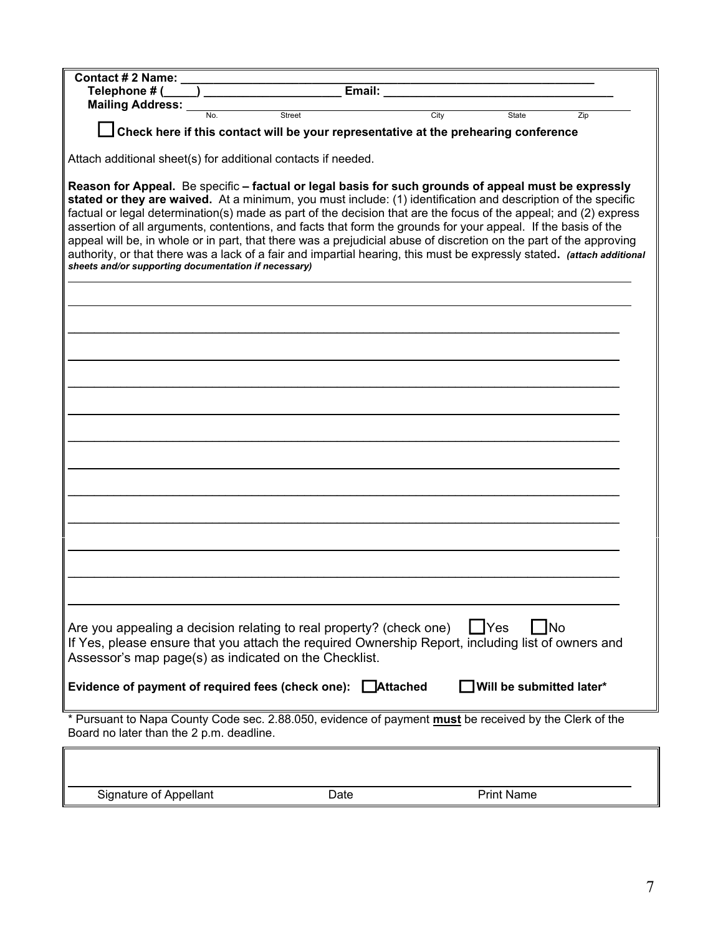| Mailing Address: Mailing Address:                                                                                                                                                                                                                                                                                                                                                                                                                                                                                                                                                                                                                                                                                                                                  |                                                                                     |      |      |                   |                          |
|--------------------------------------------------------------------------------------------------------------------------------------------------------------------------------------------------------------------------------------------------------------------------------------------------------------------------------------------------------------------------------------------------------------------------------------------------------------------------------------------------------------------------------------------------------------------------------------------------------------------------------------------------------------------------------------------------------------------------------------------------------------------|-------------------------------------------------------------------------------------|------|------|-------------------|--------------------------|
|                                                                                                                                                                                                                                                                                                                                                                                                                                                                                                                                                                                                                                                                                                                                                                    | Street                                                                              |      | City | State             | Zip                      |
|                                                                                                                                                                                                                                                                                                                                                                                                                                                                                                                                                                                                                                                                                                                                                                    | Check here if this contact will be your representative at the prehearing conference |      |      |                   |                          |
|                                                                                                                                                                                                                                                                                                                                                                                                                                                                                                                                                                                                                                                                                                                                                                    |                                                                                     |      |      |                   |                          |
| Attach additional sheet(s) for additional contacts if needed.                                                                                                                                                                                                                                                                                                                                                                                                                                                                                                                                                                                                                                                                                                      |                                                                                     |      |      |                   |                          |
| Reason for Appeal. Be specific - factual or legal basis for such grounds of appeal must be expressly<br>stated or they are waived. At a minimum, you must include: (1) identification and description of the specific<br>factual or legal determination(s) made as part of the decision that are the focus of the appeal; and (2) express<br>assertion of all arguments, contentions, and facts that form the grounds for your appeal. If the basis of the<br>appeal will be, in whole or in part, that there was a prejudicial abuse of discretion on the part of the approving<br>authority, or that there was a lack of a fair and impartial hearing, this must be expressly stated. (attach additional<br>sheets and/or supporting documentation if necessary) |                                                                                     |      |      |                   |                          |
|                                                                                                                                                                                                                                                                                                                                                                                                                                                                                                                                                                                                                                                                                                                                                                    |                                                                                     |      |      |                   |                          |
|                                                                                                                                                                                                                                                                                                                                                                                                                                                                                                                                                                                                                                                                                                                                                                    |                                                                                     |      |      |                   |                          |
|                                                                                                                                                                                                                                                                                                                                                                                                                                                                                                                                                                                                                                                                                                                                                                    |                                                                                     |      |      |                   |                          |
|                                                                                                                                                                                                                                                                                                                                                                                                                                                                                                                                                                                                                                                                                                                                                                    |                                                                                     |      |      |                   |                          |
|                                                                                                                                                                                                                                                                                                                                                                                                                                                                                                                                                                                                                                                                                                                                                                    |                                                                                     |      |      |                   |                          |
|                                                                                                                                                                                                                                                                                                                                                                                                                                                                                                                                                                                                                                                                                                                                                                    |                                                                                     |      |      |                   |                          |
|                                                                                                                                                                                                                                                                                                                                                                                                                                                                                                                                                                                                                                                                                                                                                                    |                                                                                     |      |      |                   |                          |
|                                                                                                                                                                                                                                                                                                                                                                                                                                                                                                                                                                                                                                                                                                                                                                    |                                                                                     |      |      |                   |                          |
|                                                                                                                                                                                                                                                                                                                                                                                                                                                                                                                                                                                                                                                                                                                                                                    |                                                                                     |      |      |                   |                          |
|                                                                                                                                                                                                                                                                                                                                                                                                                                                                                                                                                                                                                                                                                                                                                                    |                                                                                     |      |      |                   |                          |
|                                                                                                                                                                                                                                                                                                                                                                                                                                                                                                                                                                                                                                                                                                                                                                    |                                                                                     |      |      |                   |                          |
|                                                                                                                                                                                                                                                                                                                                                                                                                                                                                                                                                                                                                                                                                                                                                                    |                                                                                     |      |      |                   |                          |
|                                                                                                                                                                                                                                                                                                                                                                                                                                                                                                                                                                                                                                                                                                                                                                    |                                                                                     |      |      |                   |                          |
|                                                                                                                                                                                                                                                                                                                                                                                                                                                                                                                                                                                                                                                                                                                                                                    |                                                                                     |      |      |                   |                          |
|                                                                                                                                                                                                                                                                                                                                                                                                                                                                                                                                                                                                                                                                                                                                                                    |                                                                                     |      |      |                   |                          |
|                                                                                                                                                                                                                                                                                                                                                                                                                                                                                                                                                                                                                                                                                                                                                                    |                                                                                     |      |      |                   |                          |
|                                                                                                                                                                                                                                                                                                                                                                                                                                                                                                                                                                                                                                                                                                                                                                    |                                                                                     |      |      |                   |                          |
|                                                                                                                                                                                                                                                                                                                                                                                                                                                                                                                                                                                                                                                                                                                                                                    |                                                                                     |      |      |                   |                          |
| Are you appealing a decision relating to real property? (check one)<br>If Yes, please ensure that you attach the required Ownership Report, including list of owners and<br>Assessor's map page(s) as indicated on the Checklist.                                                                                                                                                                                                                                                                                                                                                                                                                                                                                                                                  |                                                                                     |      |      | Yes               | No                       |
| Evidence of payment of required fees (check one): △ △ △ △ Attached                                                                                                                                                                                                                                                                                                                                                                                                                                                                                                                                                                                                                                                                                                 |                                                                                     |      |      |                   | Will be submitted later* |
| * Pursuant to Napa County Code sec. 2.88.050, evidence of payment must be received by the Clerk of the<br>Board no later than the 2 p.m. deadline.                                                                                                                                                                                                                                                                                                                                                                                                                                                                                                                                                                                                                 |                                                                                     |      |      |                   |                          |
|                                                                                                                                                                                                                                                                                                                                                                                                                                                                                                                                                                                                                                                                                                                                                                    |                                                                                     |      |      |                   |                          |
|                                                                                                                                                                                                                                                                                                                                                                                                                                                                                                                                                                                                                                                                                                                                                                    |                                                                                     |      |      |                   |                          |
| Signature of Appellant                                                                                                                                                                                                                                                                                                                                                                                                                                                                                                                                                                                                                                                                                                                                             |                                                                                     | Date |      | <b>Print Name</b> |                          |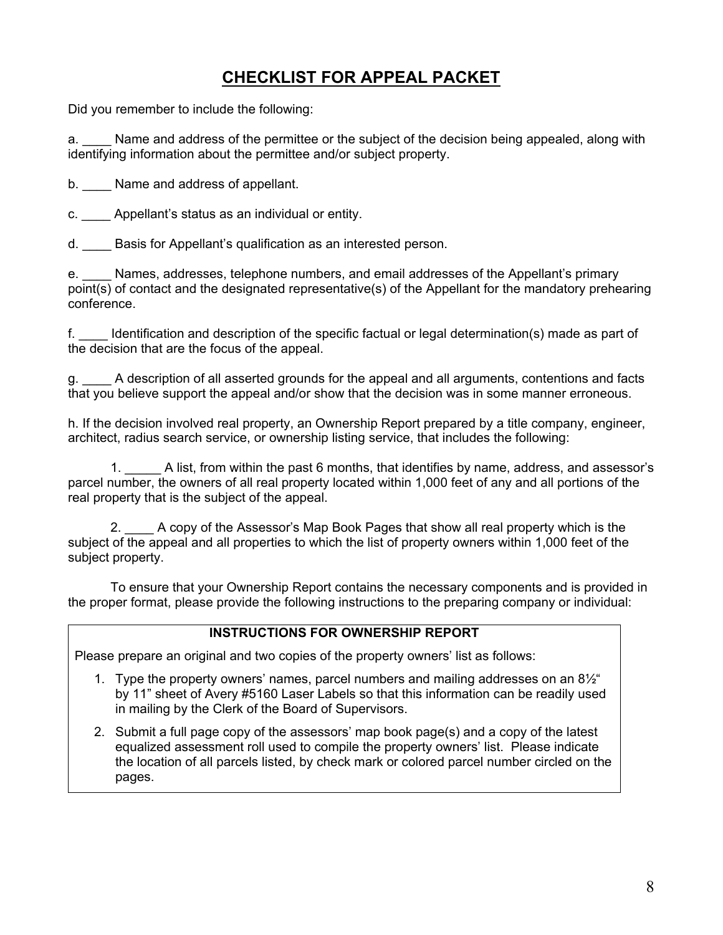# **CHECKLIST FOR APPEAL PACKET**

Did you remember to include the following:

a. \_\_\_\_ Name and address of the permittee or the subject of the decision being appealed, along with identifying information about the permittee and/or subject property.

b. Name and address of appellant.

c. \_\_\_\_ Appellant's status as an individual or entity.

d. Basis for Appellant's qualification as an interested person.

e. Chames, addresses, telephone numbers, and email addresses of the Appellant's primary point(s) of contact and the designated representative(s) of the Appellant for the mandatory prehearing conference.

f. \_\_\_\_ Identification and description of the specific factual or legal determination(s) made as part of the decision that are the focus of the appeal.

g. \_\_\_\_ A description of all asserted grounds for the appeal and all arguments, contentions and facts that you believe support the appeal and/or show that the decision was in some manner erroneous.

h. If the decision involved real property, an Ownership Report prepared by a title company, engineer, architect, radius search service, or ownership listing service, that includes the following:

1. A list, from within the past 6 months, that identifies by name, address, and assessor's parcel number, the owners of all real property located within 1,000 feet of any and all portions of the real property that is the subject of the appeal.

 2. \_\_\_\_ A copy of the Assessor's Map Book Pages that show all real property which is the subject of the appeal and all properties to which the list of property owners within 1,000 feet of the subject property.

 To ensure that your Ownership Report contains the necessary components and is provided in the proper format, please provide the following instructions to the preparing company or individual:

#### **INSTRUCTIONS FOR OWNERSHIP REPORT**

Please prepare an original and two copies of the property owners' list as follows:

- 1. Type the property owners' names, parcel numbers and mailing addresses on an 8½" by 11" sheet of Avery #5160 Laser Labels so that this information can be readily used in mailing by the Clerk of the Board of Supervisors.
- 2. Submit a full page copy of the assessors' map book page(s) and a copy of the latest equalized assessment roll used to compile the property owners' list. Please indicate the location of all parcels listed, by check mark or colored parcel number circled on the pages.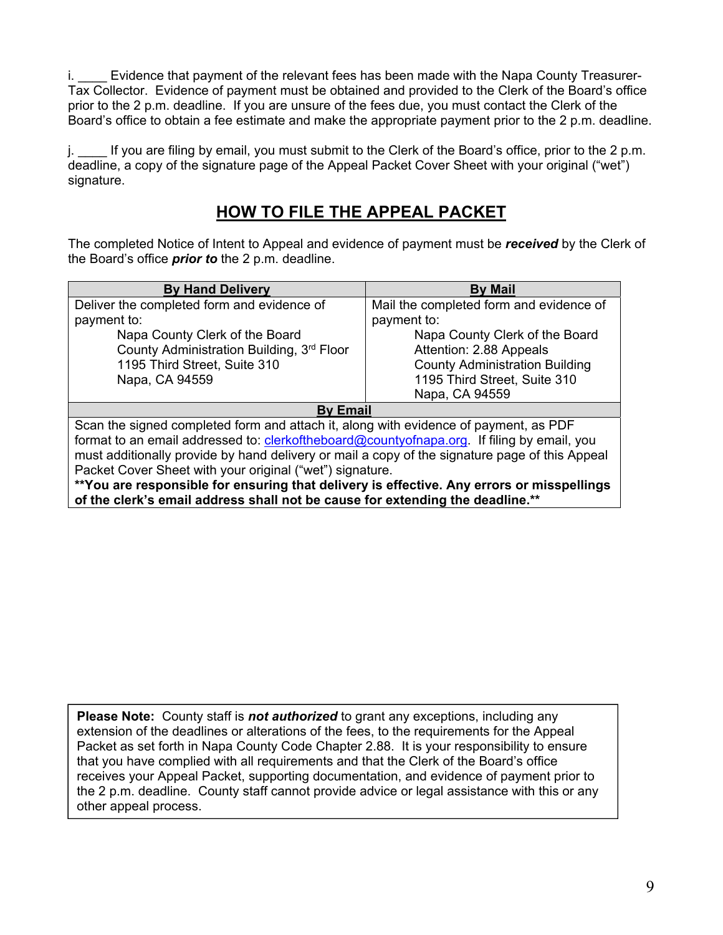i. **Evidence that payment of the relevant fees has been made with the Napa County Treasurer-**Tax Collector. Evidence of payment must be obtained and provided to the Clerk of the Board's office prior to the 2 p.m. deadline. If you are unsure of the fees due, you must contact the Clerk of the Board's office to obtain a fee estimate and make the appropriate payment prior to the 2 p.m. deadline.

j. \_\_\_\_ If you are filing by email, you must submit to the Clerk of the Board's office, prior to the 2 p.m. deadline, a copy of the signature page of the Appeal Packet Cover Sheet with your original ("wet") signature.

# **HOW TO FILE THE APPEAL PACKET**

The completed Notice of Intent to Appeal and evidence of payment must be *received* by the Clerk of the Board's office *prior to* the 2 p.m. deadline.

| <b>By Hand Delivery</b>                                                                        | <b>By Mail</b>                          |  |  |  |
|------------------------------------------------------------------------------------------------|-----------------------------------------|--|--|--|
| Deliver the completed form and evidence of                                                     | Mail the completed form and evidence of |  |  |  |
| payment to:                                                                                    | payment to:                             |  |  |  |
| Napa County Clerk of the Board                                                                 | Napa County Clerk of the Board          |  |  |  |
| County Administration Building, 3rd Floor                                                      | Attention: 2.88 Appeals                 |  |  |  |
| 1195 Third Street, Suite 310                                                                   | <b>County Administration Building</b>   |  |  |  |
| Napa, CA 94559                                                                                 | 1195 Third Street, Suite 310            |  |  |  |
|                                                                                                | Napa, CA 94559                          |  |  |  |
| <b>By Email</b>                                                                                |                                         |  |  |  |
| Scan the signed completed form and attach it, along with evidence of payment, as PDF           |                                         |  |  |  |
| format to an email addressed to: clerkoftheboard@countyofnapa.org. If filing by email, you     |                                         |  |  |  |
| must additionally provide by hand delivery or mail a copy of the signature page of this Appeal |                                         |  |  |  |
| Packet Cover Sheet with your original ("wet") signature.                                       |                                         |  |  |  |
| **You are responsible for ensuring that delivery is effective. Any errors or misspellings      |                                         |  |  |  |
| of the clerk's email address shall not be cause for extending the deadline.**                  |                                         |  |  |  |

**Please Note:** County staff is *not authorized* to grant any exceptions, including any extension of the deadlines or alterations of the fees, to the requirements for the Appeal Packet as set forth in Napa County Code Chapter 2.88. It is your responsibility to ensure that you have complied with all requirements and that the Clerk of the Board's office receives your Appeal Packet, supporting documentation, and evidence of payment prior to the 2 p.m. deadline. County staff cannot provide advice or legal assistance with this or any other appeal process.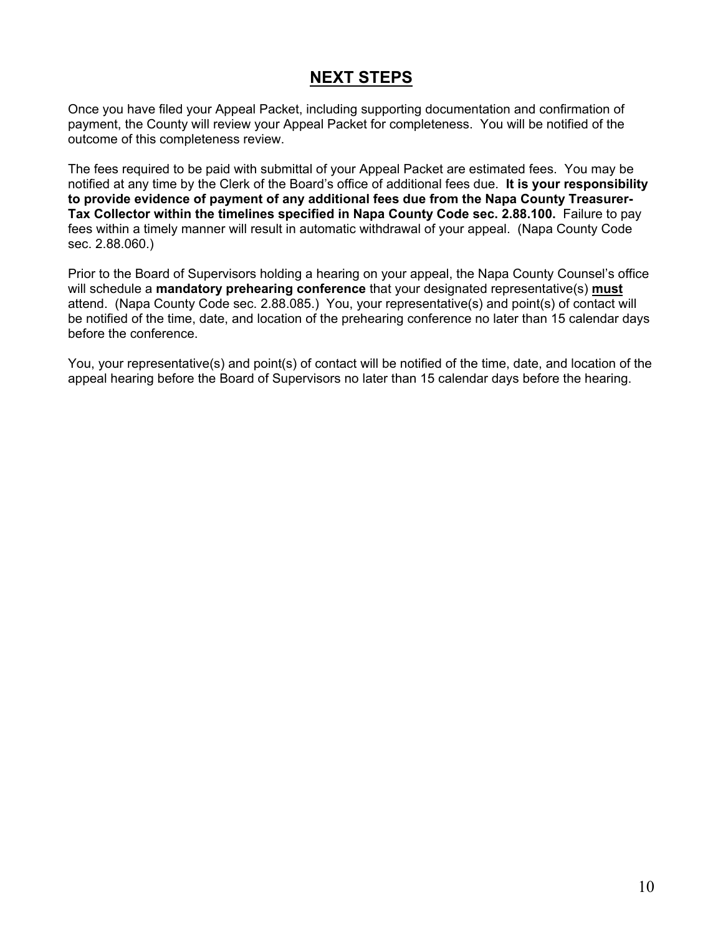# **NEXT STEPS**

Once you have filed your Appeal Packet, including supporting documentation and confirmation of payment, the County will review your Appeal Packet for completeness. You will be notified of the outcome of this completeness review.

The fees required to be paid with submittal of your Appeal Packet are estimated fees. You may be notified at any time by the Clerk of the Board's office of additional fees due. **It is your responsibility to provide evidence of payment of any additional fees due from the Napa County Treasurer-Tax Collector within the timelines specified in Napa County Code sec. 2.88.100.** Failure to pay fees within a timely manner will result in automatic withdrawal of your appeal. (Napa County Code sec. 2.88.060.)

Prior to the Board of Supervisors holding a hearing on your appeal, the Napa County Counsel's office will schedule a **mandatory prehearing conference** that your designated representative(s) **must** attend. (Napa County Code sec. 2.88.085.) You, your representative(s) and point(s) of contact will be notified of the time, date, and location of the prehearing conference no later than 15 calendar days before the conference.

You, your representative(s) and point(s) of contact will be notified of the time, date, and location of the appeal hearing before the Board of Supervisors no later than 15 calendar days before the hearing.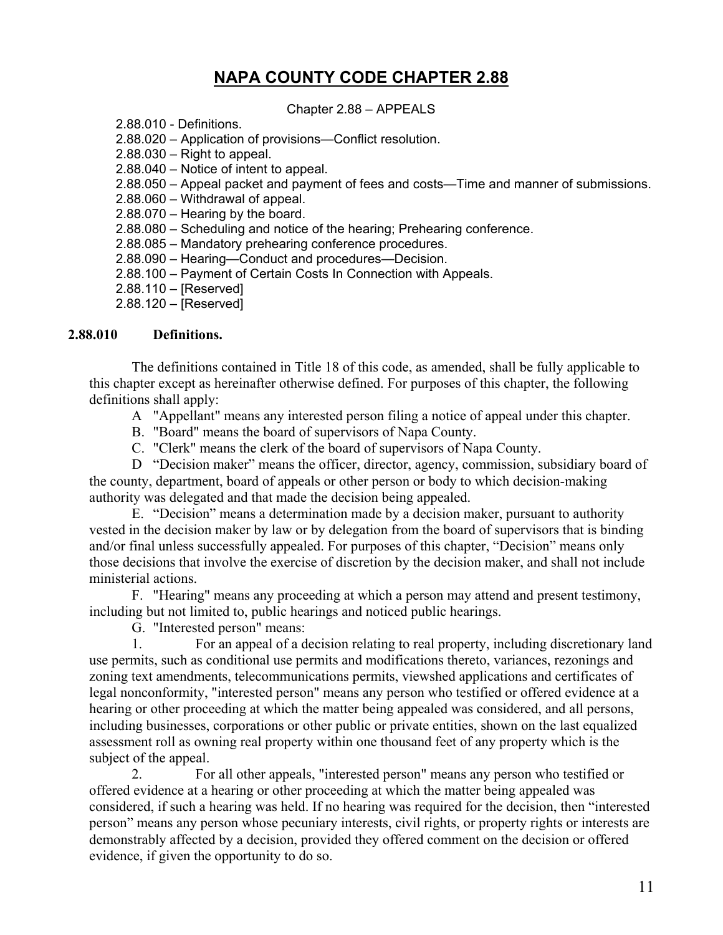# **NAPA COUNTY CODE CHAPTER 2.88**

Chapter 2.88 – APPEALS

2.88.010 - Definitions.

- 2.88.020 Application of provisions—Conflict resolution.
- 2.88.030 Right to appeal.
- 2.88.040 Notice of intent to appeal.
- 2.88.050 Appeal packet and payment of fees and costs—Time and manner of submissions.
- 2.88.060 Withdrawal of appeal.
- 2.88.070 Hearing by the board.
- 2.88.080 Scheduling and notice of the hearing; Prehearing conference.
- 2.88.085 Mandatory prehearing conference procedures.
- 2.88.090 Hearing—Conduct and procedures—Decision.
- 2.88.100 Payment of Certain Costs In Connection with Appeals.
- 2.88.110 [Reserved]
- 2.88.120 [Reserved]

## **2.88.010 Definitions.**

The definitions contained in Title 18 of this code, as amended, shall be fully applicable to this chapter except as hereinafter otherwise defined. For purposes of this chapter, the following definitions shall apply:

- A "Appellant" means any interested person filing a notice of appeal under this chapter.
- B. "Board" means the board of supervisors of Napa County.
- C. "Clerk" means the clerk of the board of supervisors of Napa County.

D "Decision maker" means the officer, director, agency, commission, subsidiary board of the county, department, board of appeals or other person or body to which decision-making authority was delegated and that made the decision being appealed.

E. "Decision" means a determination made by a decision maker, pursuant to authority vested in the decision maker by law or by delegation from the board of supervisors that is binding and/or final unless successfully appealed. For purposes of this chapter, "Decision" means only those decisions that involve the exercise of discretion by the decision maker, and shall not include ministerial actions.

F. "Hearing" means any proceeding at which a person may attend and present testimony, including but not limited to, public hearings and noticed public hearings.

G. "Interested person" means:

1. For an appeal of a decision relating to real property, including discretionary land use permits, such as conditional use permits and modifications thereto, variances, rezonings and zoning text amendments, telecommunications permits, viewshed applications and certificates of legal nonconformity, "interested person" means any person who testified or offered evidence at a hearing or other proceeding at which the matter being appealed was considered, and all persons, including businesses, corporations or other public or private entities, shown on the last equalized assessment roll as owning real property within one thousand feet of any property which is the subject of the appeal.

2. For all other appeals, "interested person" means any person who testified or offered evidence at a hearing or other proceeding at which the matter being appealed was considered, if such a hearing was held. If no hearing was required for the decision, then "interested person" means any person whose pecuniary interests, civil rights, or property rights or interests are demonstrably affected by a decision, provided they offered comment on the decision or offered evidence, if given the opportunity to do so.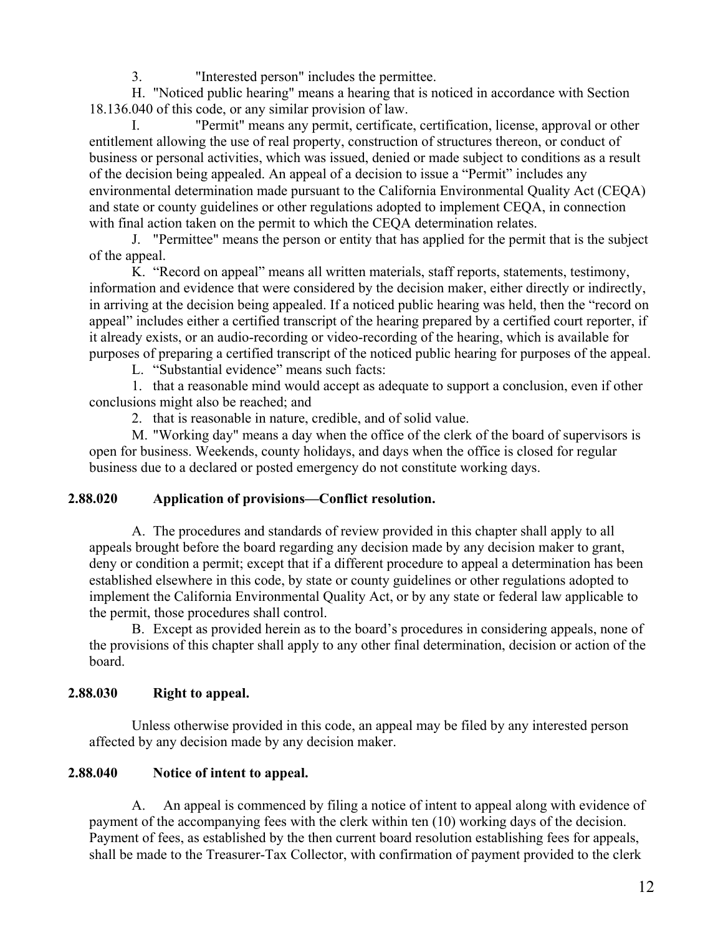3. "Interested person" includes the permittee.

H. "Noticed public hearing" means a hearing that is noticed in accordance with Section 18.136.040 of this code, or any similar provision of law.

I. "Permit" means any permit, certificate, certification, license, approval or other entitlement allowing the use of real property, construction of structures thereon, or conduct of business or personal activities, which was issued, denied or made subject to conditions as a result of the decision being appealed. An appeal of a decision to issue a "Permit" includes any environmental determination made pursuant to the California Environmental Quality Act (CEQA) and state or county guidelines or other regulations adopted to implement CEQA, in connection with final action taken on the permit to which the CEQA determination relates.

J. "Permittee" means the person or entity that has applied for the permit that is the subject of the appeal.

K. "Record on appeal" means all written materials, staff reports, statements, testimony, information and evidence that were considered by the decision maker, either directly or indirectly, in arriving at the decision being appealed. If a noticed public hearing was held, then the "record on appeal" includes either a certified transcript of the hearing prepared by a certified court reporter, if it already exists, or an audio-recording or video-recording of the hearing, which is available for purposes of preparing a certified transcript of the noticed public hearing for purposes of the appeal.

L. "Substantial evidence" means such facts:

1. that a reasonable mind would accept as adequate to support a conclusion, even if other conclusions might also be reached; and

2. that is reasonable in nature, credible, and of solid value.

M. "Working day" means a day when the office of the clerk of the board of supervisors is open for business. Weekends, county holidays, and days when the office is closed for regular business due to a declared or posted emergency do not constitute working days.

## **2.88.020 Application of provisions—Conflict resolution.**

A. The procedures and standards of review provided in this chapter shall apply to all appeals brought before the board regarding any decision made by any decision maker to grant, deny or condition a permit; except that if a different procedure to appeal a determination has been established elsewhere in this code, by state or county guidelines or other regulations adopted to implement the California Environmental Quality Act, or by any state or federal law applicable to the permit, those procedures shall control.

B. Except as provided herein as to the board's procedures in considering appeals, none of the provisions of this chapter shall apply to any other final determination, decision or action of the board.

# **2.88.030 Right to appeal.**

Unless otherwise provided in this code, an appeal may be filed by any interested person affected by any decision made by any decision maker.

# **2.88.040 Notice of intent to appeal.**

A. An appeal is commenced by filing a notice of intent to appeal along with evidence of payment of the accompanying fees with the clerk within ten (10) working days of the decision. Payment of fees, as established by the then current board resolution establishing fees for appeals, shall be made to the Treasurer-Tax Collector, with confirmation of payment provided to the clerk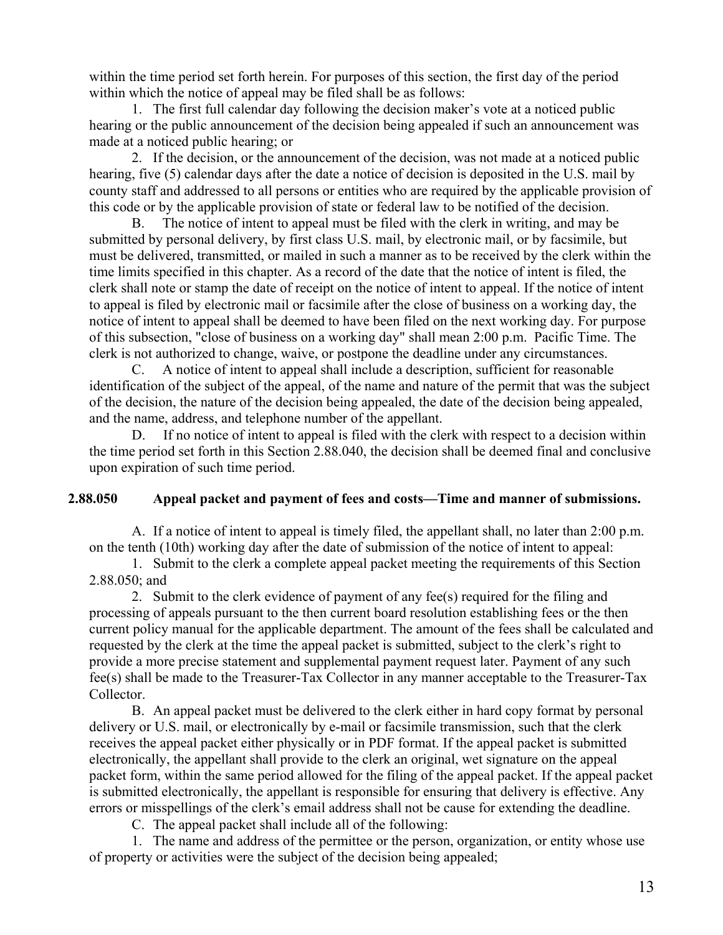within the time period set forth herein. For purposes of this section, the first day of the period within which the notice of appeal may be filed shall be as follows:

1. The first full calendar day following the decision maker's vote at a noticed public hearing or the public announcement of the decision being appealed if such an announcement was made at a noticed public hearing; or

2. If the decision, or the announcement of the decision, was not made at a noticed public hearing, five (5) calendar days after the date a notice of decision is deposited in the U.S. mail by county staff and addressed to all persons or entities who are required by the applicable provision of this code or by the applicable provision of state or federal law to be notified of the decision.

B. The notice of intent to appeal must be filed with the clerk in writing, and may be submitted by personal delivery, by first class U.S. mail, by electronic mail, or by facsimile, but must be delivered, transmitted, or mailed in such a manner as to be received by the clerk within the time limits specified in this chapter. As a record of the date that the notice of intent is filed, the clerk shall note or stamp the date of receipt on the notice of intent to appeal. If the notice of intent to appeal is filed by electronic mail or facsimile after the close of business on a working day, the notice of intent to appeal shall be deemed to have been filed on the next working day. For purpose of this subsection, "close of business on a working day" shall mean 2:00 p.m. Pacific Time. The clerk is not authorized to change, waive, or postpone the deadline under any circumstances.

C. A notice of intent to appeal shall include a description, sufficient for reasonable identification of the subject of the appeal, of the name and nature of the permit that was the subject of the decision, the nature of the decision being appealed, the date of the decision being appealed, and the name, address, and telephone number of the appellant.

D. If no notice of intent to appeal is filed with the clerk with respect to a decision within the time period set forth in this Section 2.88.040, the decision shall be deemed final and conclusive upon expiration of such time period.

#### **2.88.050 Appeal packet and payment of fees and costs—Time and manner of submissions.**

A. If a notice of intent to appeal is timely filed, the appellant shall, no later than 2:00 p.m. on the tenth (10th) working day after the date of submission of the notice of intent to appeal:

1. Submit to the clerk a complete appeal packet meeting the requirements of this Section 2.88.050; and

2. Submit to the clerk evidence of payment of any fee(s) required for the filing and processing of appeals pursuant to the then current board resolution establishing fees or the then current policy manual for the applicable department. The amount of the fees shall be calculated and requested by the clerk at the time the appeal packet is submitted, subject to the clerk's right to provide a more precise statement and supplemental payment request later. Payment of any such fee(s) shall be made to the Treasurer-Tax Collector in any manner acceptable to the Treasurer-Tax Collector.

B. An appeal packet must be delivered to the clerk either in hard copy format by personal delivery or U.S. mail, or electronically by e-mail or facsimile transmission, such that the clerk receives the appeal packet either physically or in PDF format. If the appeal packet is submitted electronically, the appellant shall provide to the clerk an original, wet signature on the appeal packet form, within the same period allowed for the filing of the appeal packet. If the appeal packet is submitted electronically, the appellant is responsible for ensuring that delivery is effective. Any errors or misspellings of the clerk's email address shall not be cause for extending the deadline.

C. The appeal packet shall include all of the following:

1. The name and address of the permittee or the person, organization, or entity whose use of property or activities were the subject of the decision being appealed;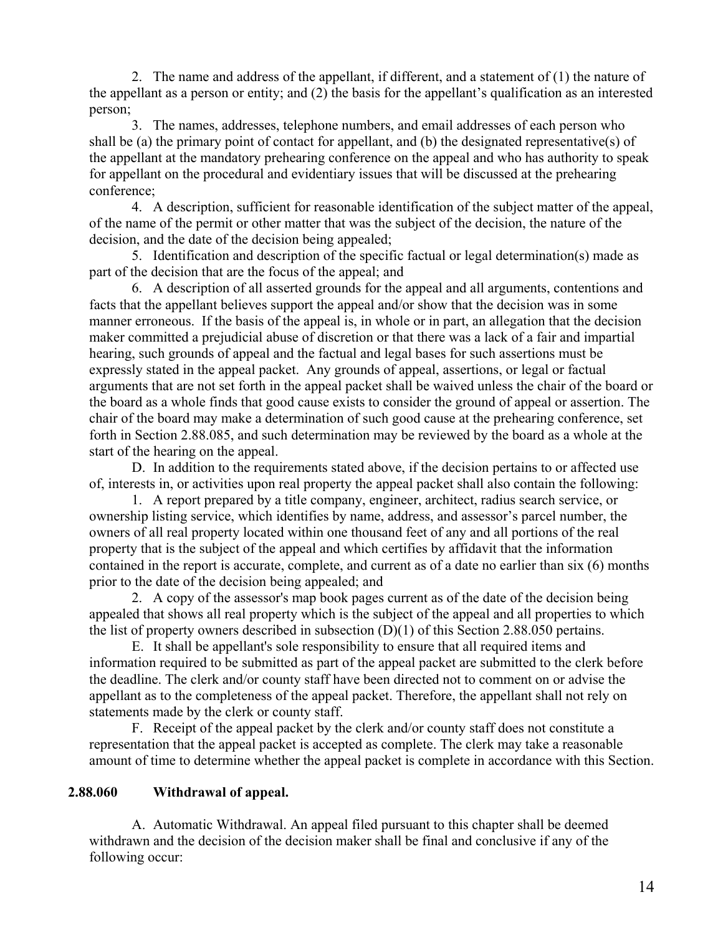2. The name and address of the appellant, if different, and a statement of (1) the nature of the appellant as a person or entity; and (2) the basis for the appellant's qualification as an interested person;

3. The names, addresses, telephone numbers, and email addresses of each person who shall be (a) the primary point of contact for appellant, and (b) the designated representative(s) of the appellant at the mandatory prehearing conference on the appeal and who has authority to speak for appellant on the procedural and evidentiary issues that will be discussed at the prehearing conference;

4. A description, sufficient for reasonable identification of the subject matter of the appeal, of the name of the permit or other matter that was the subject of the decision, the nature of the decision, and the date of the decision being appealed;

5. Identification and description of the specific factual or legal determination(s) made as part of the decision that are the focus of the appeal; and

6. A description of all asserted grounds for the appeal and all arguments, contentions and facts that the appellant believes support the appeal and/or show that the decision was in some manner erroneous. If the basis of the appeal is, in whole or in part, an allegation that the decision maker committed a prejudicial abuse of discretion or that there was a lack of a fair and impartial hearing, such grounds of appeal and the factual and legal bases for such assertions must be expressly stated in the appeal packet. Any grounds of appeal, assertions, or legal or factual arguments that are not set forth in the appeal packet shall be waived unless the chair of the board or the board as a whole finds that good cause exists to consider the ground of appeal or assertion. The chair of the board may make a determination of such good cause at the prehearing conference, set forth in Section 2.88.085, and such determination may be reviewed by the board as a whole at the start of the hearing on the appeal.

D. In addition to the requirements stated above, if the decision pertains to or affected use of, interests in, or activities upon real property the appeal packet shall also contain the following:

1. A report prepared by a title company, engineer, architect, radius search service, or ownership listing service, which identifies by name, address, and assessor's parcel number, the owners of all real property located within one thousand feet of any and all portions of the real property that is the subject of the appeal and which certifies by affidavit that the information contained in the report is accurate, complete, and current as of a date no earlier than six (6) months prior to the date of the decision being appealed; and

2. A copy of the assessor's map book pages current as of the date of the decision being appealed that shows all real property which is the subject of the appeal and all properties to which the list of property owners described in subsection (D)(1) of this Section 2.88.050 pertains.

E. It shall be appellant's sole responsibility to ensure that all required items and information required to be submitted as part of the appeal packet are submitted to the clerk before the deadline. The clerk and/or county staff have been directed not to comment on or advise the appellant as to the completeness of the appeal packet. Therefore, the appellant shall not rely on statements made by the clerk or county staff.

F. Receipt of the appeal packet by the clerk and/or county staff does not constitute a representation that the appeal packet is accepted as complete. The clerk may take a reasonable amount of time to determine whether the appeal packet is complete in accordance with this Section.

## **2.88.060 Withdrawal of appeal.**

A. Automatic Withdrawal. An appeal filed pursuant to this chapter shall be deemed withdrawn and the decision of the decision maker shall be final and conclusive if any of the following occur: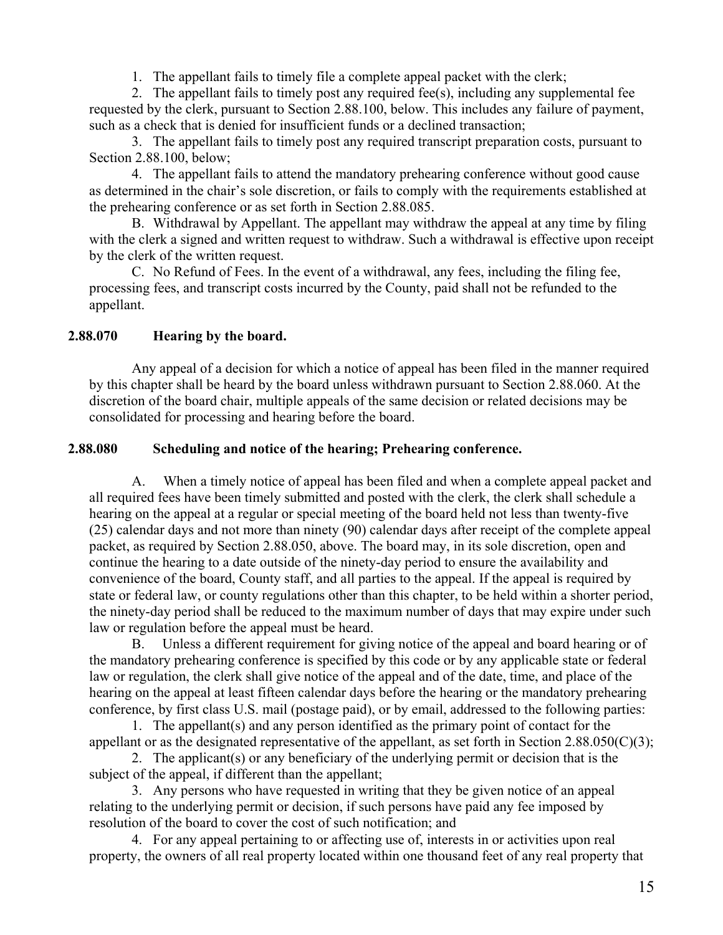1. The appellant fails to timely file a complete appeal packet with the clerk;

2. The appellant fails to timely post any required fee(s), including any supplemental fee requested by the clerk, pursuant to Section 2.88.100, below. This includes any failure of payment, such as a check that is denied for insufficient funds or a declined transaction;

3. The appellant fails to timely post any required transcript preparation costs, pursuant to Section 2.88.100, below;

4. The appellant fails to attend the mandatory prehearing conference without good cause as determined in the chair's sole discretion, or fails to comply with the requirements established at the prehearing conference or as set forth in Section 2.88.085.

B. Withdrawal by Appellant. The appellant may withdraw the appeal at any time by filing with the clerk a signed and written request to withdraw. Such a withdrawal is effective upon receipt by the clerk of the written request.

C. No Refund of Fees. In the event of a withdrawal, any fees, including the filing fee, processing fees, and transcript costs incurred by the County, paid shall not be refunded to the appellant.

## **2.88.070 Hearing by the board.**

Any appeal of a decision for which a notice of appeal has been filed in the manner required by this chapter shall be heard by the board unless withdrawn pursuant to Section 2.88.060. At the discretion of the board chair, multiple appeals of the same decision or related decisions may be consolidated for processing and hearing before the board.

## **2.88.080 Scheduling and notice of the hearing; Prehearing conference.**

A. When a timely notice of appeal has been filed and when a complete appeal packet and all required fees have been timely submitted and posted with the clerk, the clerk shall schedule a hearing on the appeal at a regular or special meeting of the board held not less than twenty-five (25) calendar days and not more than ninety (90) calendar days after receipt of the complete appeal packet, as required by Section 2.88.050, above. The board may, in its sole discretion, open and continue the hearing to a date outside of the ninety-day period to ensure the availability and convenience of the board, County staff, and all parties to the appeal. If the appeal is required by state or federal law, or county regulations other than this chapter, to be held within a shorter period, the ninety-day period shall be reduced to the maximum number of days that may expire under such law or regulation before the appeal must be heard.

B. Unless a different requirement for giving notice of the appeal and board hearing or of the mandatory prehearing conference is specified by this code or by any applicable state or federal law or regulation, the clerk shall give notice of the appeal and of the date, time, and place of the hearing on the appeal at least fifteen calendar days before the hearing or the mandatory prehearing conference, by first class U.S. mail (postage paid), or by email, addressed to the following parties:

1. The appellant(s) and any person identified as the primary point of contact for the appellant or as the designated representative of the appellant, as set forth in Section 2.88.050(C)(3);

2. The applicant(s) or any beneficiary of the underlying permit or decision that is the subject of the appeal, if different than the appellant;

3. Any persons who have requested in writing that they be given notice of an appeal relating to the underlying permit or decision, if such persons have paid any fee imposed by resolution of the board to cover the cost of such notification; and

4. For any appeal pertaining to or affecting use of, interests in or activities upon real property, the owners of all real property located within one thousand feet of any real property that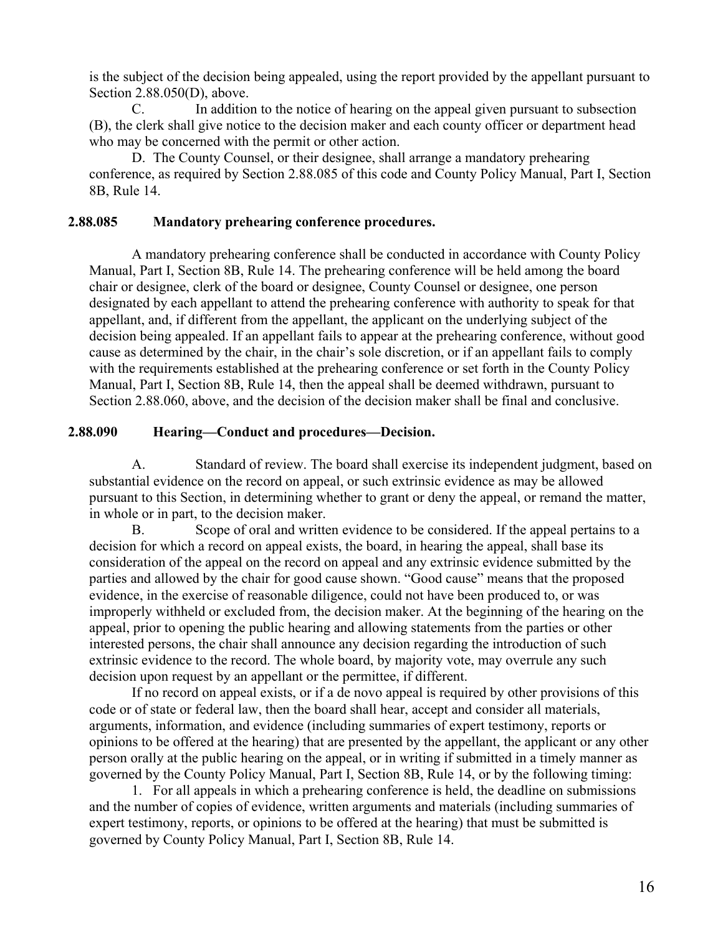is the subject of the decision being appealed, using the report provided by the appellant pursuant to Section 2.88.050(D), above.

C. In addition to the notice of hearing on the appeal given pursuant to subsection (B), the clerk shall give notice to the decision maker and each county officer or department head who may be concerned with the permit or other action.

D. The County Counsel, or their designee, shall arrange a mandatory prehearing conference, as required by Section 2.88.085 of this code and County Policy Manual, Part I, Section 8B, Rule 14.

#### **2.88.085 Mandatory prehearing conference procedures.**

A mandatory prehearing conference shall be conducted in accordance with County Policy Manual, Part I, Section 8B, Rule 14. The prehearing conference will be held among the board chair or designee, clerk of the board or designee, County Counsel or designee, one person designated by each appellant to attend the prehearing conference with authority to speak for that appellant, and, if different from the appellant, the applicant on the underlying subject of the decision being appealed. If an appellant fails to appear at the prehearing conference, without good cause as determined by the chair, in the chair's sole discretion, or if an appellant fails to comply with the requirements established at the prehearing conference or set forth in the County Policy Manual, Part I, Section 8B, Rule 14, then the appeal shall be deemed withdrawn, pursuant to Section 2.88.060, above, and the decision of the decision maker shall be final and conclusive.

#### **2.88.090 Hearing—Conduct and procedures—Decision.**

A. Standard of review. The board shall exercise its independent judgment, based on substantial evidence on the record on appeal, or such extrinsic evidence as may be allowed pursuant to this Section, in determining whether to grant or deny the appeal, or remand the matter, in whole or in part, to the decision maker.

B. Scope of oral and written evidence to be considered. If the appeal pertains to a decision for which a record on appeal exists, the board, in hearing the appeal, shall base its consideration of the appeal on the record on appeal and any extrinsic evidence submitted by the parties and allowed by the chair for good cause shown. "Good cause" means that the proposed evidence, in the exercise of reasonable diligence, could not have been produced to, or was improperly withheld or excluded from, the decision maker. At the beginning of the hearing on the appeal, prior to opening the public hearing and allowing statements from the parties or other interested persons, the chair shall announce any decision regarding the introduction of such extrinsic evidence to the record. The whole board, by majority vote, may overrule any such decision upon request by an appellant or the permittee, if different.

If no record on appeal exists, or if a de novo appeal is required by other provisions of this code or of state or federal law, then the board shall hear, accept and consider all materials, arguments, information, and evidence (including summaries of expert testimony, reports or opinions to be offered at the hearing) that are presented by the appellant, the applicant or any other person orally at the public hearing on the appeal, or in writing if submitted in a timely manner as governed by the County Policy Manual, Part I, Section 8B, Rule 14, or by the following timing:

1. For all appeals in which a prehearing conference is held, the deadline on submissions and the number of copies of evidence, written arguments and materials (including summaries of expert testimony, reports, or opinions to be offered at the hearing) that must be submitted is governed by County Policy Manual, Part I, Section 8B, Rule 14.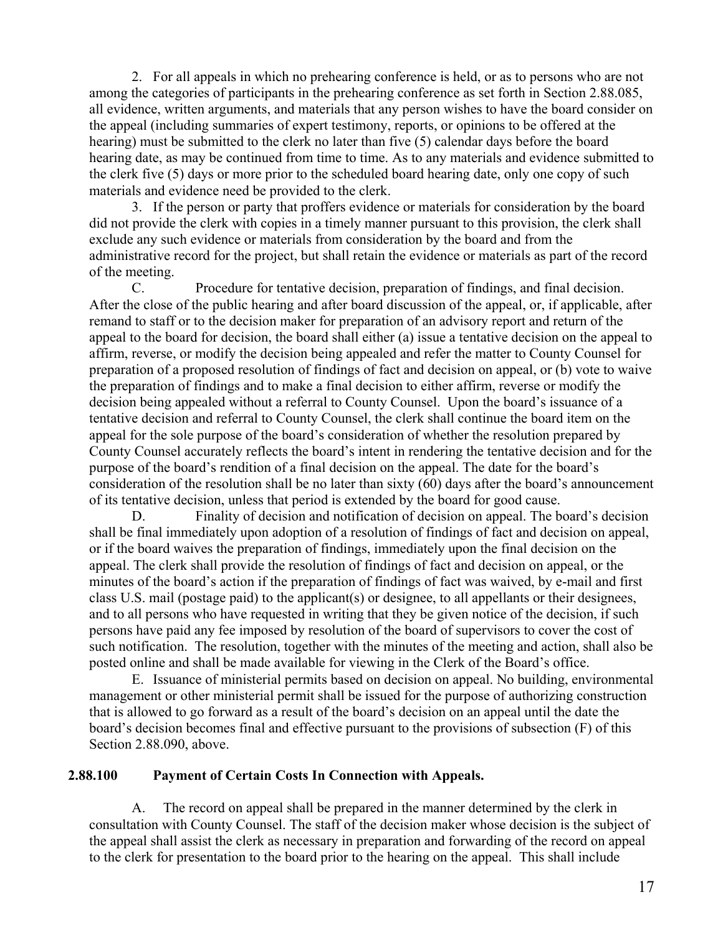2. For all appeals in which no prehearing conference is held, or as to persons who are not among the categories of participants in the prehearing conference as set forth in Section 2.88.085, all evidence, written arguments, and materials that any person wishes to have the board consider on the appeal (including summaries of expert testimony, reports, or opinions to be offered at the hearing) must be submitted to the clerk no later than five (5) calendar days before the board hearing date, as may be continued from time to time. As to any materials and evidence submitted to the clerk five (5) days or more prior to the scheduled board hearing date, only one copy of such materials and evidence need be provided to the clerk.

3. If the person or party that proffers evidence or materials for consideration by the board did not provide the clerk with copies in a timely manner pursuant to this provision, the clerk shall exclude any such evidence or materials from consideration by the board and from the administrative record for the project, but shall retain the evidence or materials as part of the record of the meeting.

C. Procedure for tentative decision, preparation of findings, and final decision. After the close of the public hearing and after board discussion of the appeal, or, if applicable, after remand to staff or to the decision maker for preparation of an advisory report and return of the appeal to the board for decision, the board shall either (a) issue a tentative decision on the appeal to affirm, reverse, or modify the decision being appealed and refer the matter to County Counsel for preparation of a proposed resolution of findings of fact and decision on appeal, or (b) vote to waive the preparation of findings and to make a final decision to either affirm, reverse or modify the decision being appealed without a referral to County Counsel. Upon the board's issuance of a tentative decision and referral to County Counsel, the clerk shall continue the board item on the appeal for the sole purpose of the board's consideration of whether the resolution prepared by County Counsel accurately reflects the board's intent in rendering the tentative decision and for the purpose of the board's rendition of a final decision on the appeal. The date for the board's consideration of the resolution shall be no later than sixty (60) days after the board's announcement of its tentative decision, unless that period is extended by the board for good cause.

D. Finality of decision and notification of decision on appeal. The board's decision shall be final immediately upon adoption of a resolution of findings of fact and decision on appeal, or if the board waives the preparation of findings, immediately upon the final decision on the appeal. The clerk shall provide the resolution of findings of fact and decision on appeal, or the minutes of the board's action if the preparation of findings of fact was waived, by e-mail and first class U.S. mail (postage paid) to the applicant(s) or designee, to all appellants or their designees, and to all persons who have requested in writing that they be given notice of the decision, if such persons have paid any fee imposed by resolution of the board of supervisors to cover the cost of such notification. The resolution, together with the minutes of the meeting and action, shall also be posted online and shall be made available for viewing in the Clerk of the Board's office.

E. Issuance of ministerial permits based on decision on appeal. No building, environmental management or other ministerial permit shall be issued for the purpose of authorizing construction that is allowed to go forward as a result of the board's decision on an appeal until the date the board's decision becomes final and effective pursuant to the provisions of subsection (F) of this Section 2.88.090, above.

#### **2.88.100 Payment of Certain Costs In Connection with Appeals.**

A. The record on appeal shall be prepared in the manner determined by the clerk in consultation with County Counsel. The staff of the decision maker whose decision is the subject of the appeal shall assist the clerk as necessary in preparation and forwarding of the record on appeal to the clerk for presentation to the board prior to the hearing on the appeal. This shall include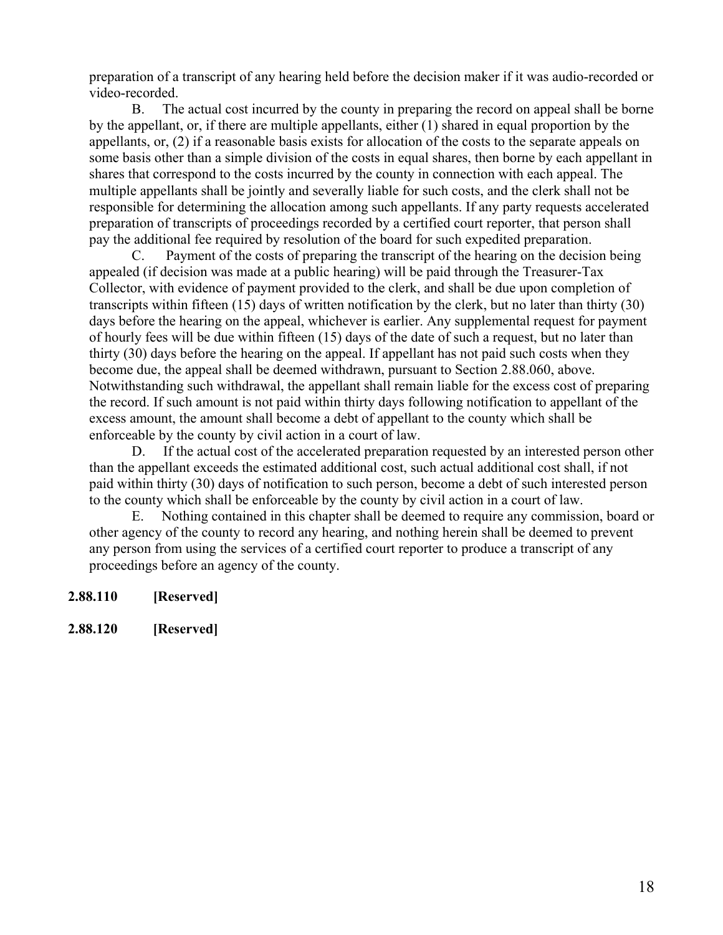preparation of a transcript of any hearing held before the decision maker if it was audio-recorded or video-recorded.

B. The actual cost incurred by the county in preparing the record on appeal shall be borne by the appellant, or, if there are multiple appellants, either (1) shared in equal proportion by the appellants, or, (2) if a reasonable basis exists for allocation of the costs to the separate appeals on some basis other than a simple division of the costs in equal shares, then borne by each appellant in shares that correspond to the costs incurred by the county in connection with each appeal. The multiple appellants shall be jointly and severally liable for such costs, and the clerk shall not be responsible for determining the allocation among such appellants. If any party requests accelerated preparation of transcripts of proceedings recorded by a certified court reporter, that person shall pay the additional fee required by resolution of the board for such expedited preparation.

C. Payment of the costs of preparing the transcript of the hearing on the decision being appealed (if decision was made at a public hearing) will be paid through the Treasurer-Tax Collector, with evidence of payment provided to the clerk, and shall be due upon completion of transcripts within fifteen (15) days of written notification by the clerk, but no later than thirty (30) days before the hearing on the appeal, whichever is earlier. Any supplemental request for payment of hourly fees will be due within fifteen (15) days of the date of such a request, but no later than thirty (30) days before the hearing on the appeal. If appellant has not paid such costs when they become due, the appeal shall be deemed withdrawn, pursuant to Section 2.88.060, above. Notwithstanding such withdrawal, the appellant shall remain liable for the excess cost of preparing the record. If such amount is not paid within thirty days following notification to appellant of the excess amount, the amount shall become a debt of appellant to the county which shall be enforceable by the county by civil action in a court of law.

D. If the actual cost of the accelerated preparation requested by an interested person other than the appellant exceeds the estimated additional cost, such actual additional cost shall, if not paid within thirty (30) days of notification to such person, become a debt of such interested person to the county which shall be enforceable by the county by civil action in a court of law.

E. Nothing contained in this chapter shall be deemed to require any commission, board or other agency of the county to record any hearing, and nothing herein shall be deemed to prevent any person from using the services of a certified court reporter to produce a transcript of any proceedings before an agency of the county.

- **2.88.110 [Reserved]**
- **2.88.120 [Reserved]**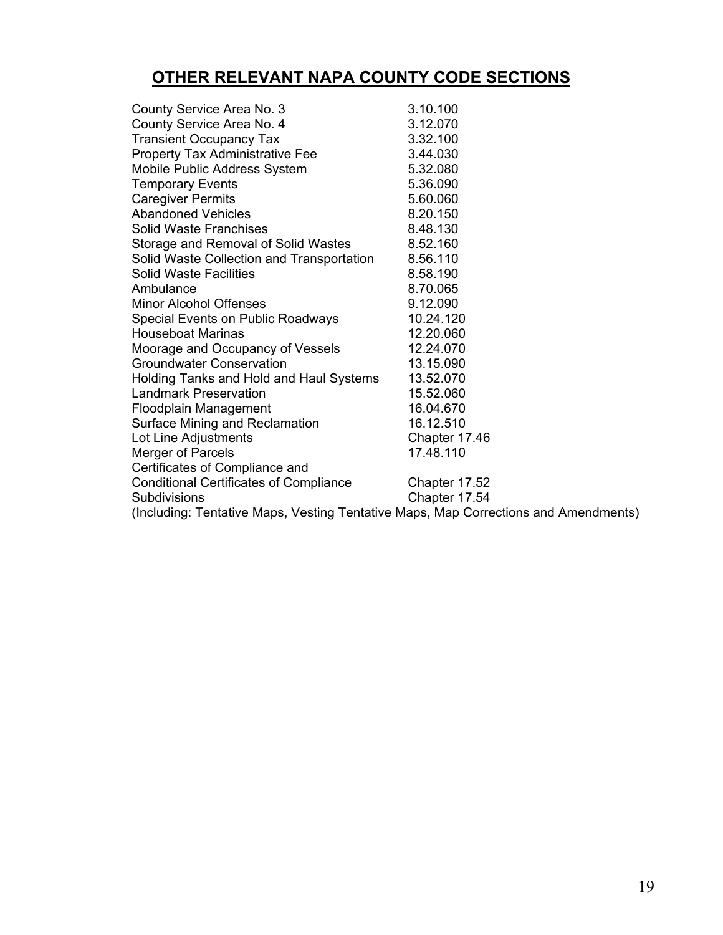# **OTHER RELEVANT NAPA COUNTY CODE SECTIONS**

| County Service Area No. 3                                                           | 3.10.100      |
|-------------------------------------------------------------------------------------|---------------|
| County Service Area No. 4                                                           | 3.12.070      |
| <b>Transient Occupancy Tax</b>                                                      | 3.32.100      |
| Property Tax Administrative Fee                                                     | 3.44.030      |
| Mobile Public Address System                                                        | 5.32.080      |
| <b>Temporary Events</b>                                                             | 5.36.090      |
| <b>Caregiver Permits</b>                                                            | 5.60.060      |
| <b>Abandoned Vehicles</b>                                                           | 8.20.150      |
| <b>Solid Waste Franchises</b>                                                       | 8.48.130      |
| Storage and Removal of Solid Wastes                                                 | 8.52.160      |
| Solid Waste Collection and Transportation                                           | 8.56.110      |
| <b>Solid Waste Facilities</b>                                                       | 8.58.190      |
| Ambulance                                                                           | 8.70.065      |
| <b>Minor Alcohol Offenses</b>                                                       | 9.12.090      |
| Special Events on Public Roadways                                                   | 10.24.120     |
| <b>Houseboat Marinas</b>                                                            | 12.20.060     |
| Moorage and Occupancy of Vessels                                                    | 12.24.070     |
| <b>Groundwater Conservation</b>                                                     | 13.15.090     |
| Holding Tanks and Hold and Haul Systems                                             | 13.52.070     |
| Landmark Preservation                                                               | 15.52.060     |
| <b>Floodplain Management</b>                                                        | 16.04.670     |
| Surface Mining and Reclamation                                                      | 16.12.510     |
| Lot Line Adjustments                                                                | Chapter 17.46 |
| <b>Merger of Parcels</b>                                                            | 17.48.110     |
| Certificates of Compliance and                                                      |               |
| <b>Conditional Certificates of Compliance</b>                                       | Chapter 17.52 |
| <b>Subdivisions</b>                                                                 | Chapter 17.54 |
| (Including: Tentative Maps, Vesting Tentative Maps, Map Corrections and Amendments) |               |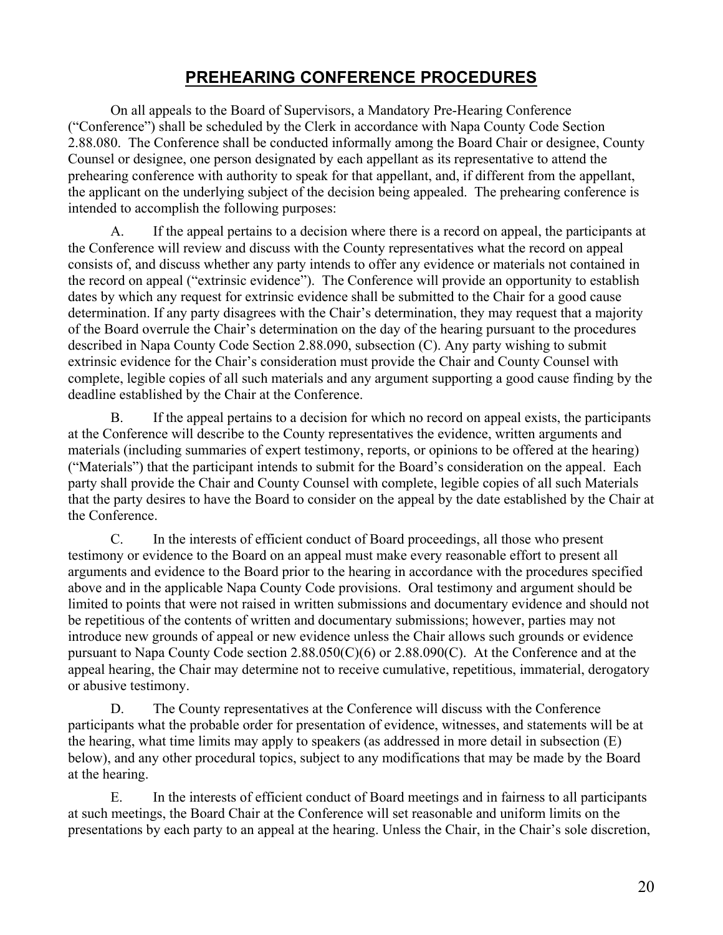# **PREHEARING CONFERENCE PROCEDURES**

On all appeals to the Board of Supervisors, a Mandatory Pre-Hearing Conference ("Conference") shall be scheduled by the Clerk in accordance with Napa County Code Section 2.88.080. The Conference shall be conducted informally among the Board Chair or designee, County Counsel or designee, one person designated by each appellant as its representative to attend the prehearing conference with authority to speak for that appellant, and, if different from the appellant, the applicant on the underlying subject of the decision being appealed. The prehearing conference is intended to accomplish the following purposes:

A. If the appeal pertains to a decision where there is a record on appeal, the participants at the Conference will review and discuss with the County representatives what the record on appeal consists of, and discuss whether any party intends to offer any evidence or materials not contained in the record on appeal ("extrinsic evidence"). The Conference will provide an opportunity to establish dates by which any request for extrinsic evidence shall be submitted to the Chair for a good cause determination. If any party disagrees with the Chair's determination, they may request that a majority of the Board overrule the Chair's determination on the day of the hearing pursuant to the procedures described in Napa County Code Section 2.88.090, subsection (C). Any party wishing to submit extrinsic evidence for the Chair's consideration must provide the Chair and County Counsel with complete, legible copies of all such materials and any argument supporting a good cause finding by the deadline established by the Chair at the Conference.

B. If the appeal pertains to a decision for which no record on appeal exists, the participants at the Conference will describe to the County representatives the evidence, written arguments and materials (including summaries of expert testimony, reports, or opinions to be offered at the hearing) ("Materials") that the participant intends to submit for the Board's consideration on the appeal. Each party shall provide the Chair and County Counsel with complete, legible copies of all such Materials that the party desires to have the Board to consider on the appeal by the date established by the Chair at the Conference.

C. In the interests of efficient conduct of Board proceedings, all those who present testimony or evidence to the Board on an appeal must make every reasonable effort to present all arguments and evidence to the Board prior to the hearing in accordance with the procedures specified above and in the applicable Napa County Code provisions. Oral testimony and argument should be limited to points that were not raised in written submissions and documentary evidence and should not be repetitious of the contents of written and documentary submissions; however, parties may not introduce new grounds of appeal or new evidence unless the Chair allows such grounds or evidence pursuant to Napa County Code section 2.88.050(C)(6) or 2.88.090(C). At the Conference and at the appeal hearing, the Chair may determine not to receive cumulative, repetitious, immaterial, derogatory or abusive testimony.

D. The County representatives at the Conference will discuss with the Conference participants what the probable order for presentation of evidence, witnesses, and statements will be at the hearing, what time limits may apply to speakers (as addressed in more detail in subsection (E) below), and any other procedural topics, subject to any modifications that may be made by the Board at the hearing.

E. In the interests of efficient conduct of Board meetings and in fairness to all participants at such meetings, the Board Chair at the Conference will set reasonable and uniform limits on the presentations by each party to an appeal at the hearing. Unless the Chair, in the Chair's sole discretion,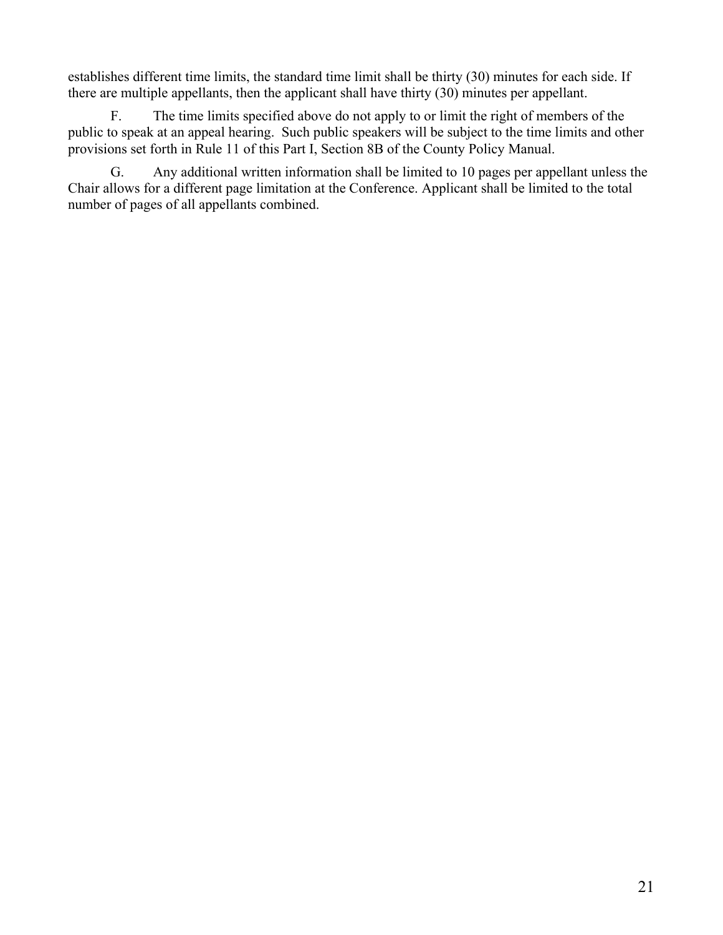establishes different time limits, the standard time limit shall be thirty (30) minutes for each side. If there are multiple appellants, then the applicant shall have thirty (30) minutes per appellant.

F. The time limits specified above do not apply to or limit the right of members of the public to speak at an appeal hearing. Such public speakers will be subject to the time limits and other provisions set forth in Rule 11 of this Part I, Section 8B of the County Policy Manual.

G. Any additional written information shall be limited to 10 pages per appellant unless the Chair allows for a different page limitation at the Conference. Applicant shall be limited to the total number of pages of all appellants combined.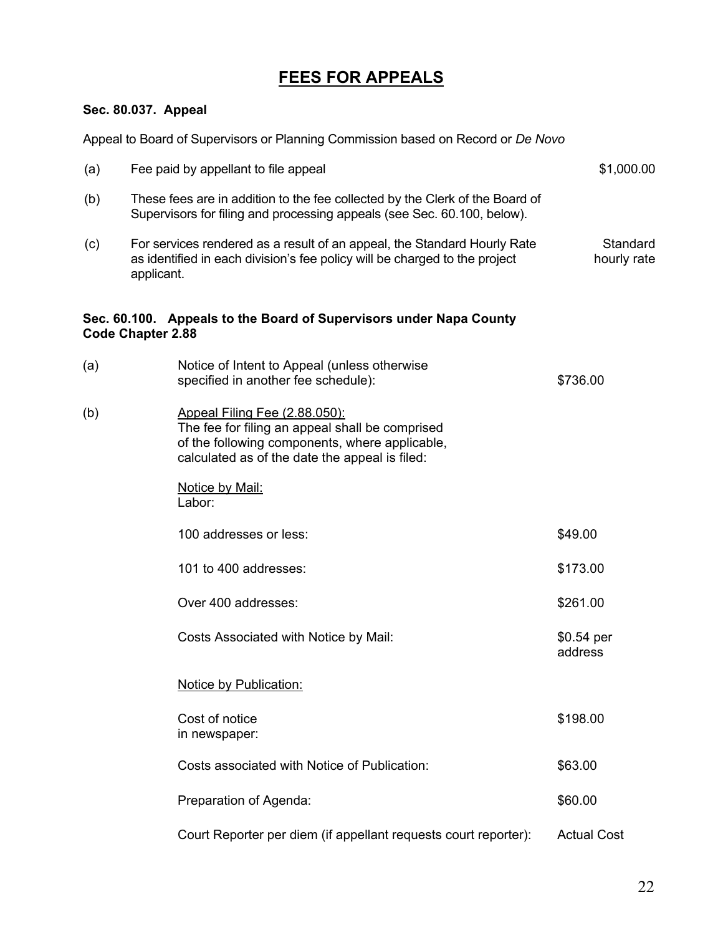# **FEES FOR APPEALS**

## **Sec. 80.037. Appeal**

Appeal to Board of Supervisors or Planning Commission based on Record or *De Novo* (a) Fee paid by appellant to file appeal 61,000.00 S1,000.00 (b) These fees are in addition to the fee collected by the Clerk of the Board of Supervisors for filing and processing appeals (see Sec. 60.100, below). (c) For services rendered as a result of an appeal, the Standard Hourly Rate as identified in each division's fee policy will be charged to the project applicant. **Standard** hourly rate **Sec. 60.100. Appeals to the Board of Supervisors under Napa County** 

# **Code Chapter 2.88**

| (a) | Notice of Intent to Appeal (unless otherwise<br>specified in another fee schedule):                                                                                                  | \$736.00               |
|-----|--------------------------------------------------------------------------------------------------------------------------------------------------------------------------------------|------------------------|
| (b) | Appeal Filing Fee (2.88.050):<br>The fee for filing an appeal shall be comprised<br>of the following components, where applicable,<br>calculated as of the date the appeal is filed: |                        |
|     | Notice by Mail:<br>Labor:                                                                                                                                                            |                        |
|     | 100 addresses or less:                                                                                                                                                               | \$49.00                |
|     | 101 to 400 addresses:                                                                                                                                                                | \$173.00               |
|     | Over 400 addresses:                                                                                                                                                                  | \$261.00               |
|     | Costs Associated with Notice by Mail:                                                                                                                                                | $$0.54$ per<br>address |
|     | <b>Notice by Publication:</b>                                                                                                                                                        |                        |
|     | Cost of notice<br>in newspaper:                                                                                                                                                      | \$198.00               |
|     | Costs associated with Notice of Publication:                                                                                                                                         | \$63.00                |
|     | Preparation of Agenda:                                                                                                                                                               | \$60.00                |
|     | Court Reporter per diem (if appellant requests court reporter):                                                                                                                      | <b>Actual Cost</b>     |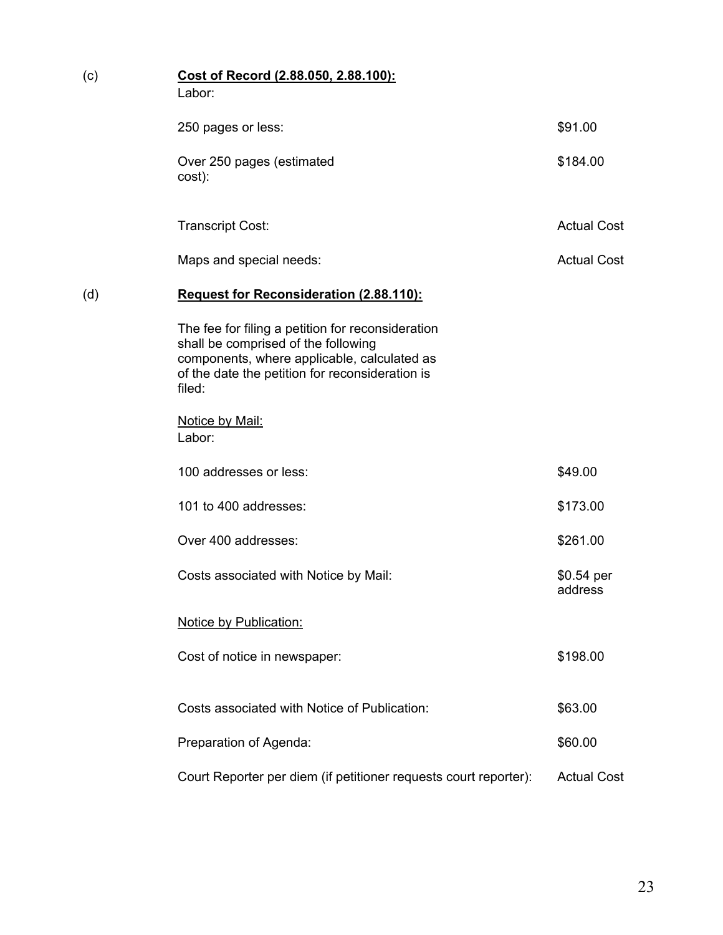| (c) | Cost of Record (2.88.050, 2.88.100):<br>Labor:                                                                                                                                                       |                       |
|-----|------------------------------------------------------------------------------------------------------------------------------------------------------------------------------------------------------|-----------------------|
|     | 250 pages or less:                                                                                                                                                                                   | \$91.00               |
|     | Over 250 pages (estimated<br>cost):                                                                                                                                                                  | \$184.00              |
|     | <b>Transcript Cost:</b>                                                                                                                                                                              | <b>Actual Cost</b>    |
|     | Maps and special needs:                                                                                                                                                                              | <b>Actual Cost</b>    |
| (d) | <b>Request for Reconsideration (2.88.110):</b>                                                                                                                                                       |                       |
|     | The fee for filing a petition for reconsideration<br>shall be comprised of the following<br>components, where applicable, calculated as<br>of the date the petition for reconsideration is<br>filed: |                       |
|     | Notice by Mail:<br>Labor:                                                                                                                                                                            |                       |
|     | 100 addresses or less:                                                                                                                                                                               | \$49.00               |
|     | 101 to 400 addresses:                                                                                                                                                                                | \$173.00              |
|     | Over 400 addresses:                                                                                                                                                                                  | \$261.00              |
|     | Costs associated with Notice by Mail:                                                                                                                                                                | \$0.54 per<br>address |
|     | <b>Notice by Publication:</b>                                                                                                                                                                        |                       |
|     | Cost of notice in newspaper:                                                                                                                                                                         | \$198.00              |
|     | Costs associated with Notice of Publication:                                                                                                                                                         | \$63.00               |
|     | Preparation of Agenda:                                                                                                                                                                               | \$60.00               |
|     | Court Reporter per diem (if petitioner requests court reporter):                                                                                                                                     | <b>Actual Cost</b>    |
|     |                                                                                                                                                                                                      |                       |